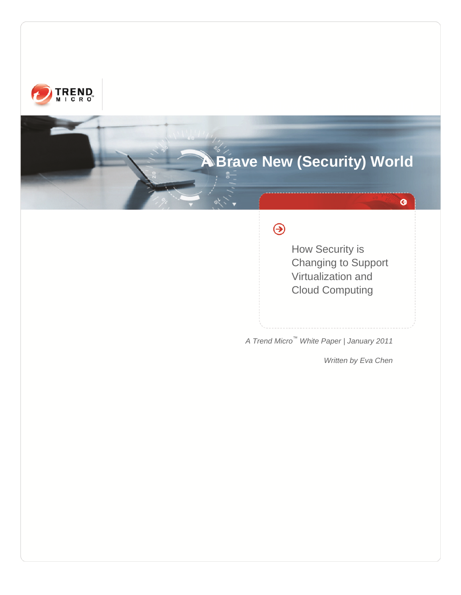

# **A Brave New (Security) World**

# $\bigcirc$

How Security is Changing to Support Virtualization and Cloud Computing

*A Trend Micro™ White Paper | January 2011*

*Written by Eva Chen*

 $\bullet$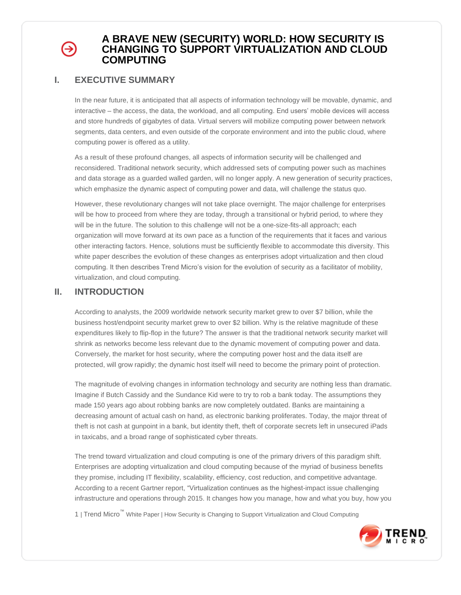# Э

# **A BRAVE NEW (SECURITY) WORLD: HOW SECURITY IS CHANGING TO SUPPORT VIRTUALIZATION AND CLOUD COMPUTING**

## **I. EXECUTIVE SUMMARY**

In the near future, it is anticipated that all aspects of information technology will be movable, dynamic, and interactive – the access, the data, the workload, and all computing. End users' mobile devices will access and store hundreds of gigabytes of data. Virtual servers will mobilize computing power between network segments, data centers, and even outside of the corporate environment and into the public cloud, where computing power is offered as a utility.

As a result of these profound changes, all aspects of information security will be challenged and reconsidered. Traditional network security, which addressed sets of computing power such as machines and data storage as a guarded walled garden, will no longer apply. A new generation of security practices, which emphasize the dynamic aspect of computing power and data, will challenge the status quo.

However, these revolutionary changes will not take place overnight. The major challenge for enterprises will be how to proceed from where they are today, through a transitional or hybrid period, to where they will be in the future. The solution to this challenge will not be a one-size-fits-all approach; each organization will move forward at its own pace as a function of the requirements that it faces and various other interacting factors. Hence, solutions must be sufficiently flexible to accommodate this diversity. This white paper describes the evolution of these changes as enterprises adopt virtualization and then cloud computing. It then describes Trend Micro's vision for the evolution of security as a facilitator of mobility, virtualization, and cloud computing.

## **II. INTRODUCTION**

According to analysts, the 2009 worldwide network security market grew to over \$7 billion, while the business host/endpoint security market grew to over \$2 billion. Why is the relative magnitude of these expenditures likely to flip-flop in the future? The answer is that the traditional network security market will shrink as networks become less relevant due to the dynamic movement of computing power and data. Conversely, the market for host security, where the computing power host and the data itself are protected, will grow rapidly; the dynamic host itself will need to become the primary point of protection.

The magnitude of evolving changes in information technology and security are nothing less than dramatic. Imagine if Butch Cassidy and the Sundance Kid were to try to rob a bank today. The assumptions they made 150 years ago about robbing banks are now completely outdated. Banks are maintaining a decreasing amount of actual cash on hand, as electronic banking proliferates. Today, the major threat of theft is not cash at gunpoint in a bank, but identity theft, theft of corporate secrets left in unsecured iPads in taxicabs, and a broad range of sophisticated cyber threats.

The trend toward virtualization and cloud computing is one of the primary drivers of this paradigm shift. Enterprises are adopting virtualization and cloud computing because of the myriad of business benefits they promise, including IT flexibility, scalability, efficiency, cost reduction, and competitive advantage. According to a recent Gartner report, "Virtualization continues as the highest-impact issue challenging infrastructure and operations through 2015. It changes how you manage, how and what you buy, how you

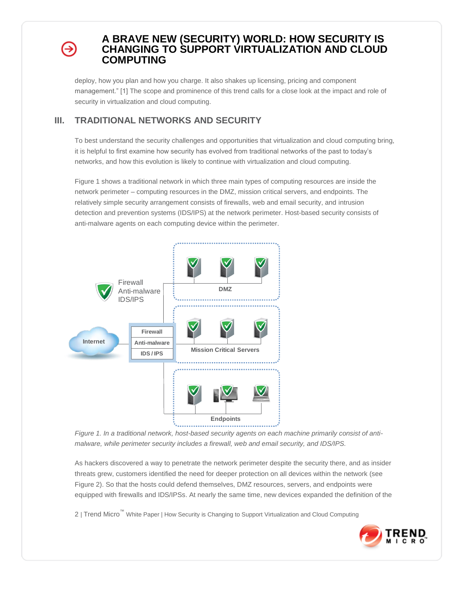deploy, how you plan and how you charge. It also shakes up licensing, pricing and component management." [1] The scope and prominence of this trend calls for a close look at the impact and role of security in virtualization and cloud computing.

# **III. TRADITIONAL NETWORKS AND SECURITY**

To best understand the security challenges and opportunities that virtualization and cloud computing bring, it is helpful to first examine how security has evolved from traditional networks of the past to today's networks, and how this evolution is likely to continue with virtualization and cloud computing.

Figure 1 shows a traditional network in which three main types of computing resources are inside the network perimeter – computing resources in the DMZ, mission critical servers, and endpoints. The relatively simple security arrangement consists of firewalls, web and email security, and intrusion detection and prevention systems (IDS/IPS) at the network perimeter. Host-based security consists of anti-malware agents on each computing device within the perimeter.



*Figure 1. In a traditional network, host-based security agents on each machine primarily consist of antimalware, while perimeter security includes a firewall, web and email security, and IDS/IPS.* 

As hackers discovered a way to penetrate the network perimeter despite the security there, and as insider threats grew, customers identified the need for deeper protection on all devices within the network (see Figure 2). So that the hosts could defend themselves, DMZ resources, servers, and endpoints were equipped with firewalls and IDS/IPSs. At nearly the same time, new devices expanded the definition of the

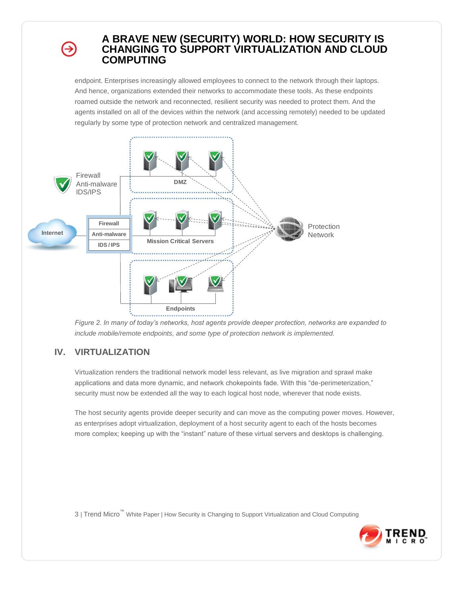endpoint. Enterprises increasingly allowed employees to connect to the network through their laptops. And hence, organizations extended their networks to accommodate these tools. As these endpoints roamed outside the network and reconnected, resilient security was needed to protect them. And the agents installed on all of the devices within the network (and accessing remotely) needed to be updated regularly by some type of protection network and centralized management.



*Figure 2. In many of today's networks, host agents provide deeper protection, networks are expanded to include mobile/remote endpoints, and some type of protection network is implemented.* 

# **IV. VIRTUALIZATION**

Virtualization renders the traditional network model less relevant, as live migration and sprawl make applications and data more dynamic, and network chokepoints fade. With this "de-perimeterization," security must now be extended all the way to each logical host node, wherever that node exists.

The host security agents provide deeper security and can move as the computing power moves. However, as enterprises adopt virtualization, deployment of a host security agent to each of the hosts becomes more complex; keeping up with the "instant" nature of these virtual servers and desktops is challenging.

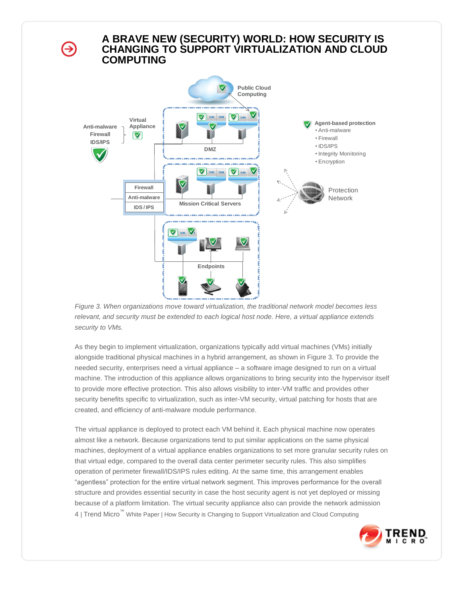⊖



*Figure 3. When organizations move toward virtualization, the traditional network model becomes less relevant, and security must be extended to each logical host node. Here, a virtual appliance extends security to VMs.*

As they begin to implement virtualization, organizations typically add virtual machines (VMs) initially alongside traditional physical machines in a hybrid arrangement, as shown in Figure 3. To provide the needed security, enterprises need a virtual appliance – a software image designed to run on a virtual machine. The introduction of this appliance allows organizations to bring security into the hypervisor itself to provide more effective protection. This also allows visibility to inter-VM traffic and provides other security benefits specific to virtualization, such as inter-VM security, virtual patching for hosts that are created, and efficiency of anti-malware module performance.

4 | Trend Micro™ White Paper | How Security is Changing to Support Virtualization and Cloud Computing The virtual appliance is deployed to protect each VM behind it. Each physical machine now operates almost like a network. Because organizations tend to put similar applications on the same physical machines, deployment of a virtual appliance enables organizations to set more granular security rules on that virtual edge, compared to the overall data center perimeter security rules. This also simplifies operation of perimeter firewall/IDS/IPS rules editing. At the same time, this arrangement enables "agentless" protection for the entire virtual network segment. This improves performance for the overall structure and provides essential security in case the host security agent is not yet deployed or missing because of a platform limitation. The virtual security appliance also can provide the network admission

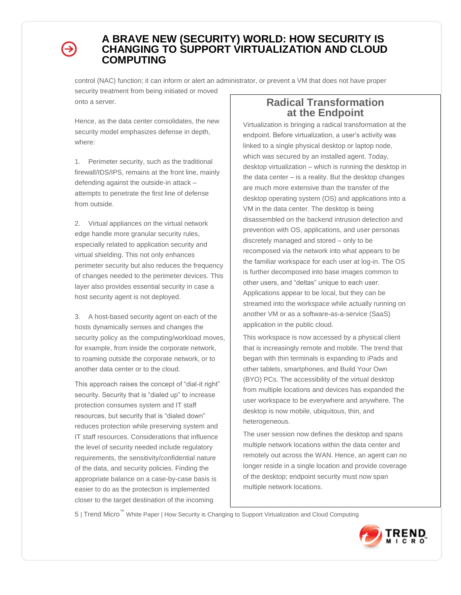# ∍

# **A BRAVE NEW (SECURITY) WORLD: HOW SECURITY IS CHANGING TO SUPPORT VIRTUALIZATION AND CLOUD COMPUTING**

control (NAC) function; it can inform or alert an administrator, or prevent a VM that does not have proper security treatment from being initiated or moved

onto a server.

Hence, as the data center consolidates, the new security model emphasizes defense in depth, where:

1. Perimeter security, such as the traditional firewall/IDS/IPS, remains at the front line, mainly defending against the outside-in attack – attempts to penetrate the first line of defense from outside.

2. Virtual appliances on the virtual network edge handle more granular security rules, especially related to application security and virtual shielding. This not only enhances perimeter security but also reduces the frequency of changes needed to the perimeter devices. This layer also provides essential security in case a host security agent is not deployed.

3. A host-based security agent on each of the hosts dynamically senses and changes the security policy as the computing/workload moves, for example, from inside the corporate network, to roaming outside the corporate network, or to another data center or to the cloud.

This approach raises the concept of "dial-it right" security. Security that is "dialed up" to increase protection consumes system and IT staff resources, but security that is "dialed down" reduces protection while preserving system and IT staff resources. Considerations that influence the level of security needed include regulatory requirements, the sensitivity/confidential nature of the data, and security policies. Finding the appropriate balance on a case-by-case basis is easier to do as the protection is implemented closer to the target destination of the incoming

# **Radical Transformation at the Endpoint**

Virtualization is bringing a radical transformation at the endpoint. Before virtualization, a user's activity was linked to a single physical desktop or laptop node, which was secured by an installed agent. Today, desktop virtualization – which is running the desktop in the data center – is a reality. But the desktop changes are much more extensive than the transfer of the desktop operating system (OS) and applications into a VM in the data center. The desktop is being disassembled on the backend intrusion detection and prevention with OS, applications, and user personas discretely managed and stored – only to be recomposed via the network into what appears to be the familiar workspace for each user at log-in. The OS is further decomposed into base images common to other users, and "deltas" unique to each user. Applications appear to be local, but they can be streamed into the workspace while actually running on another VM or as a software-as-a-service (SaaS) application in the public cloud.

This workspace is now accessed by a physical client that is increasingly remote and mobile. The trend that began with thin terminals is expanding to iPads and other tablets, smartphones, and Build Your Own (BYO) PCs. The accessibility of the virtual desktop from multiple locations and devices has expanded the user workspace to be everywhere and anywhere. The desktop is now mobile, ubiquitous, thin, and heterogeneous.

The user session now defines the desktop and spans multiple network locations within the data center and remotely out across the WAN. Hence, an agent can no longer reside in a single location and provide coverage of the desktop; endpoint security must now span multiple network locations.

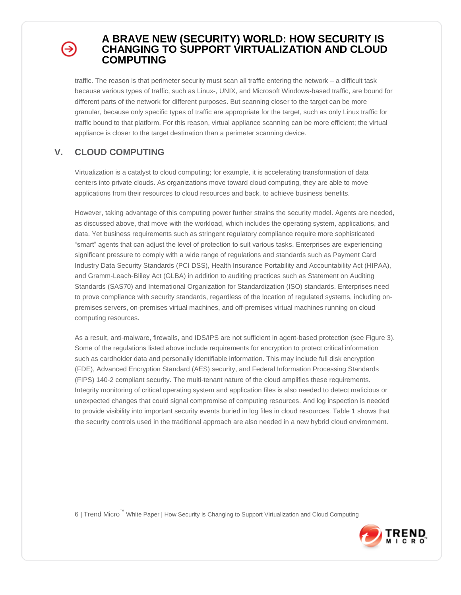# ∍

# **A BRAVE NEW (SECURITY) WORLD: HOW SECURITY IS CHANGING TO SUPPORT VIRTUALIZATION AND CLOUD COMPUTING**

traffic. The reason is that perimeter security must scan all traffic entering the network – a difficult task because various types of traffic, such as Linux-, UNIX, and Microsoft Windows-based traffic, are bound for different parts of the network for different purposes. But scanning closer to the target can be more granular, because only specific types of traffic are appropriate for the target, such as only Linux traffic for traffic bound to that platform. For this reason, virtual appliance scanning can be more efficient; the virtual appliance is closer to the target destination than a perimeter scanning device.

# **V. CLOUD COMPUTING**

Virtualization is a catalyst to cloud computing; for example, it is accelerating transformation of data centers into private clouds. As organizations move toward cloud computing, they are able to move applications from their resources to cloud resources and back, to achieve business benefits.

However, taking advantage of this computing power further strains the security model. Agents are needed, as discussed above, that move with the workload, which includes the operating system, applications, and data. Yet business requirements such as stringent regulatory compliance require more sophisticated "smart" agents that can adjust the level of protection to suit various tasks. Enterprises are experiencing significant pressure to comply with a wide range of regulations and standards such as Payment Card Industry Data Security Standards (PCI DSS), Health Insurance Portability and Accountability Act (HIPAA), and Gramm-Leach-Bliley Act (GLBA) in addition to auditing practices such as Statement on Auditing Standards (SAS70) and International Organization for Standardization (ISO) standards. Enterprises need to prove compliance with security standards, regardless of the location of regulated systems, including onpremises servers, on-premises virtual machines, and off-premises virtual machines running on cloud computing resources.

As a result, anti-malware, firewalls, and IDS/IPS are not sufficient in agent-based protection (see Figure 3). Some of the regulations listed above include requirements for encryption to protect critical information such as cardholder data and personally identifiable information. This may include full disk encryption (FDE), Advanced Encryption Standard (AES) security, and Federal Information Processing Standards (FIPS) 140-2 compliant security. The multi-tenant nature of the cloud amplifies these requirements. Integrity monitoring of critical operating system and application files is also needed to detect malicious or unexpected changes that could signal compromise of computing resources. And log inspection is needed to provide visibility into important security events buried in log files in cloud resources. Table 1 shows that the security controls used in the traditional approach are also needed in a new hybrid cloud environment.

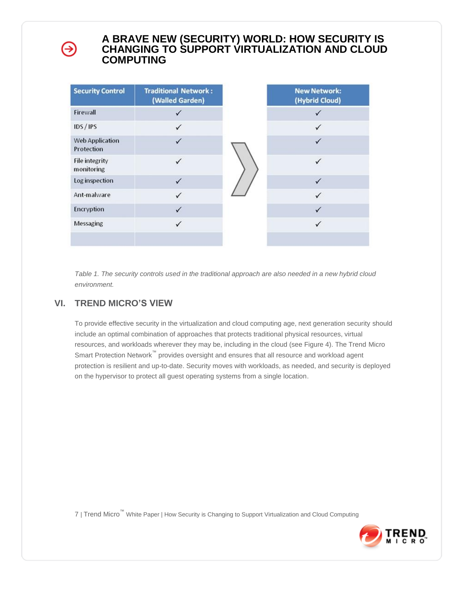| <b>Security Control</b>              | <b>Traditional Network:</b><br>(Walled Garden) |  | <b>New Network:</b><br>(Hybrid Cloud) |
|--------------------------------------|------------------------------------------------|--|---------------------------------------|
| Firewall                             | ✓                                              |  | ✓                                     |
| IDS/IPS                              | ✓                                              |  | ✓                                     |
| <b>Web Application</b><br>Protection | ✓                                              |  | ✓                                     |
| <b>File integrity</b><br>monitoring  |                                                |  |                                       |
| Log inspection                       | $\checkmark$                                   |  | ✓                                     |
| Ant-malware                          | ✓                                              |  | ✓                                     |
| Encryption                           | $\checkmark$                                   |  | ✓                                     |
| Messaging                            | $\checkmark$                                   |  |                                       |
|                                      |                                                |  |                                       |

*Table 1. The security controls used in the traditional approach are also needed in a new hybrid cloud environment.*

# **VI. TREND MICRO'S VIEW**

→

To provide effective security in the virtualization and cloud computing age, next generation security should include an optimal combination of approaches that protects traditional physical resources, virtual resources, and workloads wherever they may be, including in the cloud (see Figure 4). The Trend Micro Smart Protection Network<sup>™</sup> provides oversight and ensures that all resource and workload agent protection is resilient and up-to-date. Security moves with workloads, as needed, and security is deployed on the hypervisor to protect all guest operating systems from a single location.

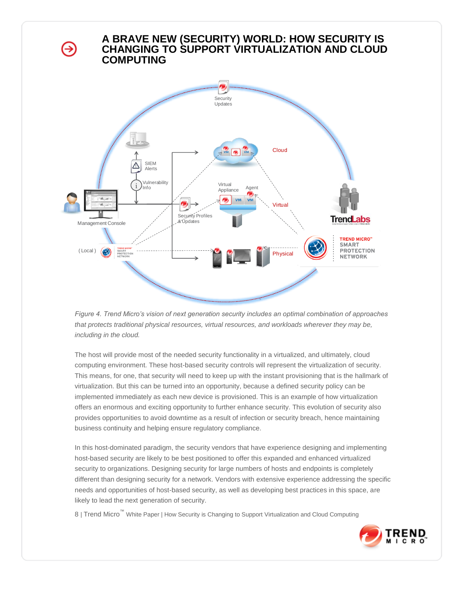⊖



*Figure 4. Trend Micro's vision of next generation security includes an optimal combination of approaches that protects traditional physical resources, virtual resources, and workloads wherever they may be, including in the cloud.*

The host will provide most of the needed security functionality in a virtualized, and ultimately, cloud computing environment. These host-based security controls will represent the virtualization of security. This means, for one, that security will need to keep up with the instant provisioning that is the hallmark of virtualization. But this can be turned into an opportunity, because a defined security policy can be implemented immediately as each new device is provisioned. This is an example of how virtualization offers an enormous and exciting opportunity to further enhance security. This evolution of security also provides opportunities to avoid downtime as a result of infection or security breach, hence maintaining business continuity and helping ensure regulatory compliance.

In this host-dominated paradigm, the security vendors that have experience designing and implementing host-based security are likely to be best positioned to offer this expanded and enhanced virtualized security to organizations. Designing security for large numbers of hosts and endpoints is completely different than designing security for a network. Vendors with extensive experience addressing the specific needs and opportunities of host-based security, as well as developing best practices in this space, are likely to lead the next generation of security.

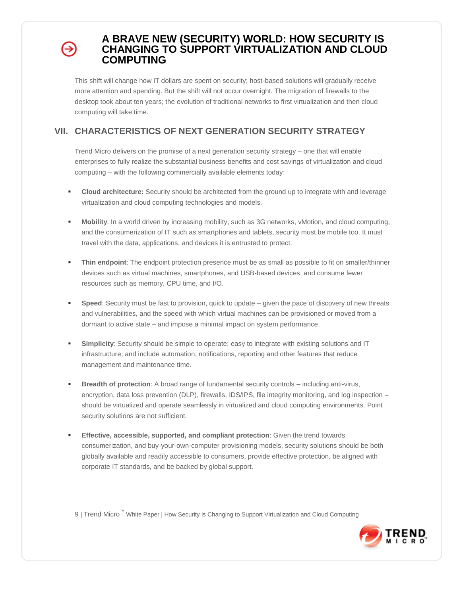This shift will change how IT dollars are spent on security; host-based solutions will gradually receive more attention and spending. But the shift will not occur overnight. The migration of firewalls to the desktop took about ten years; the evolution of traditional networks to first virtualization and then cloud computing will take time.

# **VII. CHARACTERISTICS OF NEXT GENERATION SECURITY STRATEGY**

Trend Micro delivers on the promise of a next generation security strategy – one that will enable enterprises to fully realize the substantial business benefits and cost savings of virtualization and cloud computing – with the following commercially available elements today:

- **Cloud architecture:** Security should be architected from the ground up to integrate with and leverage virtualization and cloud computing technologies and models.
- **Mobility**: In a world driven by increasing mobility, such as 3G networks, vMotion, and cloud computing, and the consumerization of IT such as smartphones and tablets, security must be mobile too. It must travel with the data, applications, and devices it is entrusted to protect.
- **Thin endpoint**: The endpoint protection presence must be as small as possible to fit on smaller/thinner devices such as virtual machines, smartphones, and USB-based devices, and consume fewer resources such as memory, CPU time, and I/O.
- **Speed**: Security must be fast to provision, quick to update given the pace of discovery of new threats and vulnerabilities, and the speed with which virtual machines can be provisioned or moved from a dormant to active state – and impose a minimal impact on system performance.
- **Simplicity**: Security should be simple to operate; easy to integrate with existing solutions and IT infrastructure; and include automation, notifications, reporting and other features that reduce management and maintenance time.
- **Breadth of protection**: A broad range of fundamental security controls including anti-virus, encryption, data loss prevention (DLP), firewalls, IDS/IPS, file integrity monitoring, and log inspection – should be virtualized and operate seamlessly in virtualized and cloud computing environments. Point security solutions are not sufficient.
- **Effective, accessible, supported, and compliant protection**: Given the trend towards consumerization, and buy-your-own-computer provisioning models, security solutions should be both globally available and readily accessible to consumers, provide effective protection, be aligned with corporate IT standards, and be backed by global support.

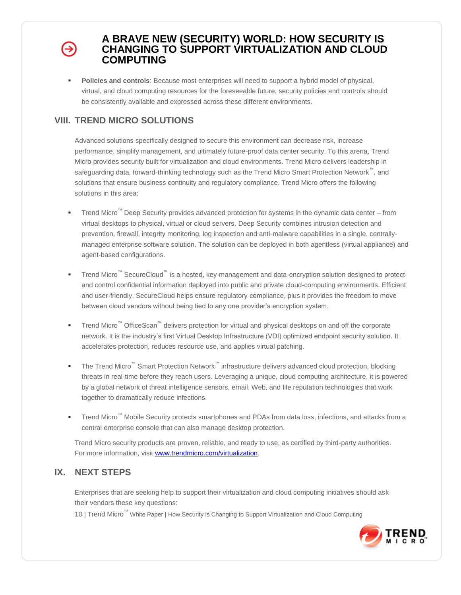**Policies and controls**: Because most enterprises will need to support a hybrid model of physical, virtual, and cloud computing resources for the foreseeable future, security policies and controls should be consistently available and expressed across these different environments.

# **VIII. TREND MICRO SOLUTIONS**

Advanced solutions specifically designed to secure this environment can decrease risk, increase performance, simplify management, and ultimately future-proof data center security. To this arena, Trend Micro provides security built for virtualization and cloud environments. Trend Micro delivers leadership in safeguarding data, forward-thinking technology such as the Trend Micro Smart Protection Network™, and solutions that ensure business continuity and regulatory compliance. Trend Micro offers the following solutions in this area:

- Trend Micro™ Deep Security provides advanced protection for systems in the dynamic data center from virtual desktops to physical, virtual or cloud servers. Deep Security combines intrusion detection and prevention, firewall, integrity monitoring, log inspection and anti-malware capabilities in a single, centrallymanaged enterprise software solution. The solution can be deployed in both agentless (virtual appliance) and agent-based configurations.
- Trend Micro<sup>™</sup> SecureCloud<sup>™</sup> is a hosted, key-management and data-encryption solution designed to protect and control confidential information deployed into public and private cloud-computing environments. Efficient and user-friendly, SecureCloud helps ensure regulatory compliance, plus it provides the freedom to move between cloud vendors without being tied to any one provider's encryption system.
- Trend Micro<sup>™</sup> OfficeScan<sup>™</sup> delivers protection for virtual and physical desktops on and off the corporate network. It is the industry's first Virtual Desktop Infrastructure (VDI) optimized endpoint security solution. It accelerates protection, reduces resource use, and applies virtual patching.
- The Trend Micro<sup>™</sup> Smart Protection Network<sup>™</sup> infrastructure delivers advanced cloud protection, blocking threats in real-time before they reach users. Leveraging a unique, cloud computing architecture, it is powered by a global network of threat intelligence sensors, email, Web, and file reputation technologies that work together to dramatically reduce infections.
- Trend Micro™ Mobile Security protects smartphones and PDAs from data loss, infections, and attacks from a central enterprise console that can also manage desktop protection.

Trend Micro security products are proven, reliable, and ready to use, as certified by third-party authorities. For more information, visit [www.trendmicro.com/virtualization.](http://www.trendmicro.com/virtualization)

# **IX. NEXT STEPS**

Enterprises that are seeking help to support their virtualization and cloud computing initiatives should ask their vendors these key questions:

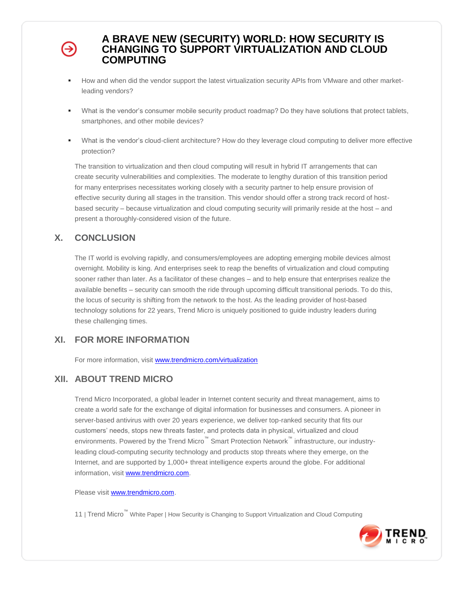- How and when did the vendor support the latest virtualization security APIs from VMware and other marketleading vendors?
- What is the vendor's consumer mobile security product roadmap? Do they have solutions that protect tablets, smartphones, and other mobile devices?
- What is the vendor's cloud-client architecture? How do they leverage cloud computing to deliver more effective protection?

The transition to virtualization and then cloud computing will result in hybrid IT arrangements that can create security vulnerabilities and complexities. The moderate to lengthy duration of this transition period for many enterprises necessitates working closely with a security partner to help ensure provision of effective security during all stages in the transition. This vendor should offer a strong track record of hostbased security – because virtualization and cloud computing security will primarily reside at the host – and present a thoroughly-considered vision of the future.

# **X. CONCLUSION**

The IT world is evolving rapidly, and consumers/employees are adopting emerging mobile devices almost overnight. Mobility is king. And enterprises seek to reap the benefits of virtualization and cloud computing sooner rather than later. As a facilitator of these changes – and to help ensure that enterprises realize the available benefits – security can smooth the ride through upcoming difficult transitional periods. To do this, the locus of security is shifting from the network to the host. As the leading provider of host-based technology solutions for 22 years, Trend Micro is uniquely positioned to guide industry leaders during these challenging times.

# **XI. FOR MORE INFORMATION**

For more information, visit [www.trendmicro.com/virtualization](http://www.trendmicro.com/virtualization)

# **XII. ABOUT TREND MICRO**

Trend Micro Incorporated, a global leader in Internet content security and threat management, aims to create a world safe for the exchange of digital information for businesses and consumers. A pioneer in server-based antivirus with over 20 years experience, we deliver top-ranked security that fits our customers' needs, stops new threats faster, and protects data in physical, virtualized and cloud environments. Powered by the Trend Micro™ Smart Protection Network™ infrastructure, our industryleading cloud-computing security technology and products stop threats where they emerge, on the Internet, and are supported by 1,000+ threat intelligence experts around the globe. For additional information, visit [www.trendmicro.com.](http://www.trendmicro.com/)

Please visit [www.trendmicro.com.](http://www.trendmicro.com/)